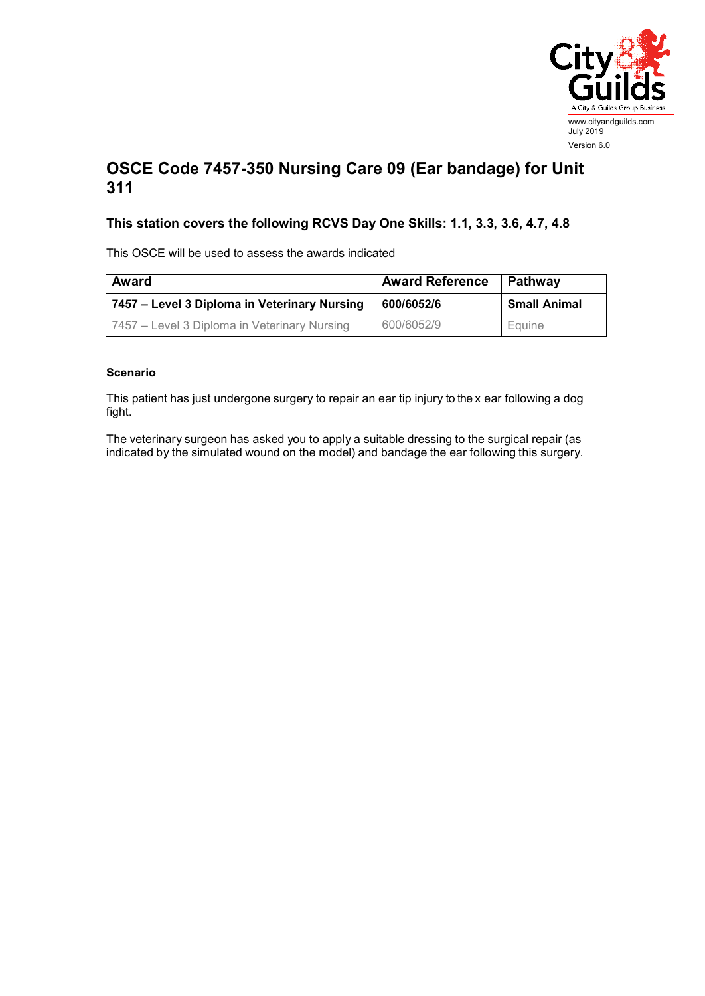

## **OSCE Code 7457-350 Nursing Care 09 (Ear bandage) for Unit 311**

## **This station covers the following RCVS Day One Skills: 1.1, 3.3, 3.6, 4.7, 4.8**

This OSCE will be used to assess the awards indicated

| <b>Award</b>                                 | <b>Award Reference</b> | Pathway             |
|----------------------------------------------|------------------------|---------------------|
| 7457 – Level 3 Diploma in Veterinary Nursing | 600/6052/6             | <b>Small Animal</b> |
| 7457 – Level 3 Diploma in Veterinary Nursing | 600/6052/9             | Equine              |

## **Scenario**

This patient has just undergone surgery to repair an ear tip injury to the x ear following a dog fight.

The veterinary surgeon has asked you to apply a suitable dressing to the surgical repair (as indicated by the simulated wound on the model) and bandage the ear following this surgery.